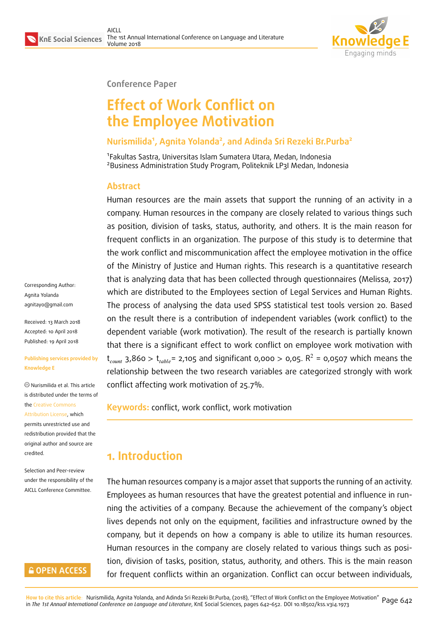

#### **Conference Paper**

# **Effect of Work Conflict on the Employee Motivation**

#### **Nurismilida<sup>1</sup> , Agnita Yolanda<sup>2</sup> , and Adinda Sri Rezeki Br.Purba<sup>2</sup>**

1 Fakultas Sastra, Universitas Islam Sumatera Utara, Medan, Indonesia <sup>2</sup>Business Administration Study Program, Politeknik LP3I Medan, Indonesia

#### **Abstract**

Human resources are the main assets that support the running of an activity in a company. Human resources in the company are closely related to various things such as position, division of tasks, status, authority, and others. It is the main reason for frequent conflicts in an organization. The purpose of this study is to determine that the work conflict and miscommunication affect the employee motivation in the office of the Ministry of Justice and Human rights. This research is a quantitative research that is analyzing data that has been collected through questionnaires (Melissa, 2017) which are distributed to the Employees section of Legal Services and Human Rights. The process of analysing the data used SPSS statistical test tools version 20. Based on the result there is a contribution of independent variables (work conflict) to the dependent variable (work motivation). The result of the research is partially known that there is a significant effect to work conflict on employee work motivation with  $t_{count}$  3,860 >  $t_{table}$  = 2,105 and significant 0,000 > 0,05.  $R^2$  = 0,0507 which means the relationship between the two research variables are categorized strongly with work conflict affecting work motivation of 25.7%.

**Keywords:** conflict, work conflict, work motivation

## **1. Introduction**

The human resources company is a major asset that supports the running of an activity. Employees as human resources that have the greatest potential and influence in running the activities of a company. Because the achievement of the company's object lives depends not only on the equipment, facilities and infrastructure owned by the company, but it depends on how a company is able to utilize its human resources. Human resources in the company are closely related to various things such as position, division of tasks, position, status, authority, and others. This is the main reason for frequent conflicts within an organization. Conflict can occur between individuals,

Corresponding Author: Agnita Yolanda agnitayo@gmail.com

Received: 13 March 2018 Accepted: 10 April 2018 [Published: 19 April 20](mailto:agnitayo@gmail.com)18

#### **Publishing services provided by Knowledge E**

Nurismilida et al. This article is distributed under the terms of the Creative Commons Attribution License, which permits unrestricted use and redistribution provided that the ori[ginal author and sou](https://creativecommons.org/licenses/by/4.0/)rce are [credited.](https://creativecommons.org/licenses/by/4.0/)

Selection and Peer-review under the responsibility of the AICLL Conference Committee.

#### **GOPEN ACCESS**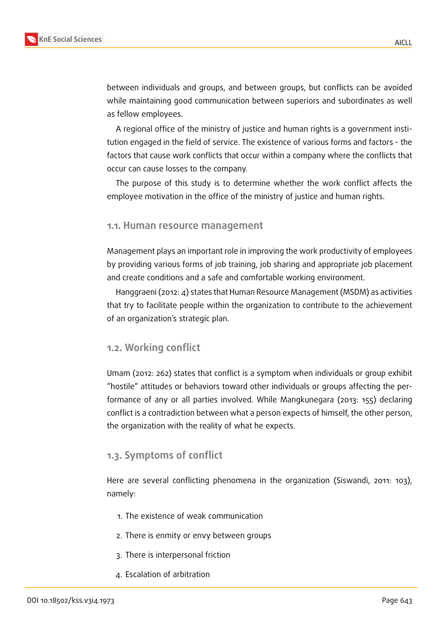between individuals and groups, and between groups, but conflicts can be avoided while maintaining good communication between superiors and subordinates as well as fellow employees.

A regional office of the ministry of justice and human rights is a government institution engaged in the field of service. The existence of various forms and factors - the factors that cause work conflicts that occur within a company where the conflicts that occur can cause losses to the company.

The purpose of this study is to determine whether the work conflict affects the employee motivation in the office of the ministry of justice and human rights.

#### **1.1. Human resource management**

Management plays an important role in improving the work productivity of employees by providing various forms of job training, job sharing and appropriate job placement and create conditions and a safe and comfortable working environment.

Hanggraeni (2012: 4) states that Human Resource Management (MSDM) as activities that try to facilitate people within the organization to contribute to the achievement of an organization's strategic plan.

#### **1.2. Working conflict**

Umam (2012: 262) states that conflict is a symptom when individuals or group exhibit "hostile" attitudes or behaviors toward other individuals or groups affecting the performance of any or all parties involved. While Mangkunegara (2013: 155) declaring conflict is a contradiction between what a person expects of himself, the other person, the organization with the reality of what he expects.

#### **1.3. Symptoms of conflict**

Here are several conflicting phenomena in the organization (Siswandi, 2011: 103), namely:

- 1. The existence of weak communication
- 2. There is enmity or envy between groups
- 3. There is interpersonal friction
- 4. Escalation of arbitration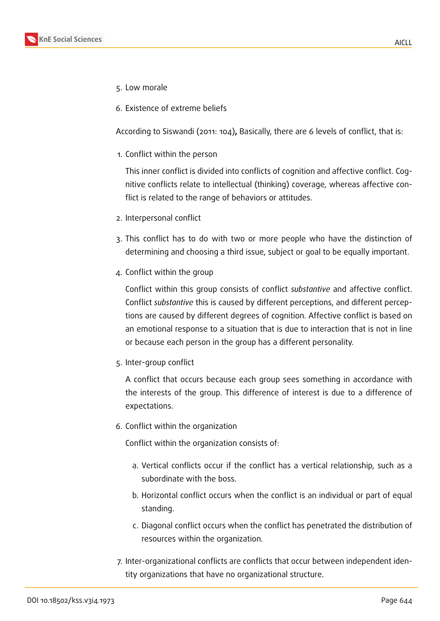- 5. Low morale
- 6. Existence of extreme beliefs

According to Siswandi (2011: 104)**,** Basically, there are 6 levels of conflict, that is:

1. Conflict within the person

This inner conflict is divided into conflicts of cognition and affective conflict. Cognitive conflicts relate to intellectual (thinking) coverage, whereas affective conflict is related to the range of behaviors or attitudes.

- 2. Interpersonal conflict
- 3. This conflict has to do with two or more people who have the distinction of determining and choosing a third issue, subject or goal to be equally important.
- 4. Conflict within the group

Conflict within this group consists of conflict *substantive* and affective conflict. Conflict *substantive* this is caused by different perceptions, and different perceptions are caused by different degrees of cognition. Affective conflict is based on an emotional response to a situation that is due to interaction that is not in line or because each person in the group has a different personality.

5. Inter-group conflict

A conflict that occurs because each group sees something in accordance with the interests of the group. This difference of interest is due to a difference of expectations.

6. Conflict within the organization

Conflict within the organization consists of:

- a. Vertical conflicts occur if the conflict has a vertical relationship, such as a subordinate with the boss.
- b. Horizontal conflict occurs when the conflict is an individual or part of equal standing.
- c. Diagonal conflict occurs when the conflict has penetrated the distribution of resources within the organization.
- 7. Inter-organizational conflicts are conflicts that occur between independent identity organizations that have no organizational structure.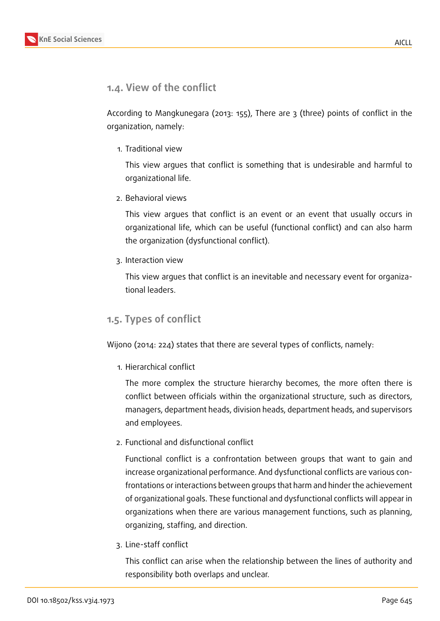

### **1.4. View of the conflict**

According to Mangkunegara (2013: 155), There are 3 (three) points of conflict in the organization, namely:

1. Traditional view

This view argues that conflict is something that is undesirable and harmful to organizational life.

2. Behavioral views

This view argues that conflict is an event or an event that usually occurs in organizational life, which can be useful (functional conflict) and can also harm the organization (dysfunctional conflict).

3. Interaction view

This view argues that conflict is an inevitable and necessary event for organizational leaders.

### **1.5. Types of conflict**

Wijono (2014: 224) states that there are several types of conflicts, namely:

1. Hierarchical conflict

The more complex the structure hierarchy becomes, the more often there is conflict between officials within the organizational structure, such as directors, managers, department heads, division heads, department heads, and supervisors and employees.

2. Functional and disfunctional conflict

Functional conflict is a confrontation between groups that want to gain and increase organizational performance. And dysfunctional conflicts are various confrontations or interactions between groups that harm and hinder the achievement of organizational goals. These functional and dysfunctional conflicts will appear in organizations when there are various management functions, such as planning, organizing, staffing, and direction.

3. Line-staff conflict

This conflict can arise when the relationship between the lines of authority and responsibility both overlaps and unclear.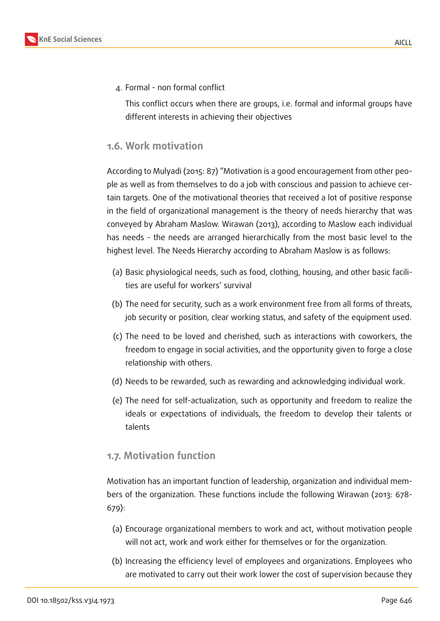

4. Formal - non formal conflict

This conflict occurs when there are groups, i.e. formal and informal groups have different interests in achieving their objectives

#### **1.6. Work motivation**

According to Mulyadi (2015: 87) "Motivation is a good encouragement from other people as well as from themselves to do a job with conscious and passion to achieve certain targets. One of the motivational theories that received a lot of positive response in the field of organizational management is the theory of needs hierarchy that was conveyed by Abraham Maslow. Wirawan (2013), according to Maslow each individual has needs - the needs are arranged hierarchically from the most basic level to the highest level. The Needs Hierarchy according to Abraham Maslow is as follows:

- (a) Basic physiological needs, such as food, clothing, housing, and other basic facilities are useful for workers' survival
- (b) The need for security, such as a work environment free from all forms of threats, job security or position, clear working status, and safety of the equipment used.
- (c) The need to be loved and cherished, such as interactions with coworkers, the freedom to engage in social activities, and the opportunity given to forge a close relationship with others.
- (d) Needs to be rewarded, such as rewarding and acknowledging individual work.
- (e) The need for self-actualization, such as opportunity and freedom to realize the ideals or expectations of individuals, the freedom to develop their talents or talents

#### **1.7. Motivation function**

Motivation has an important function of leadership, organization and individual members of the organization. These functions include the following Wirawan (2013: 678- 679):

- (a) Encourage organizational members to work and act, without motivation people will not act, work and work either for themselves or for the organization.
- (b) Increasing the efficiency level of employees and organizations. Employees who are motivated to carry out their work lower the cost of supervision because they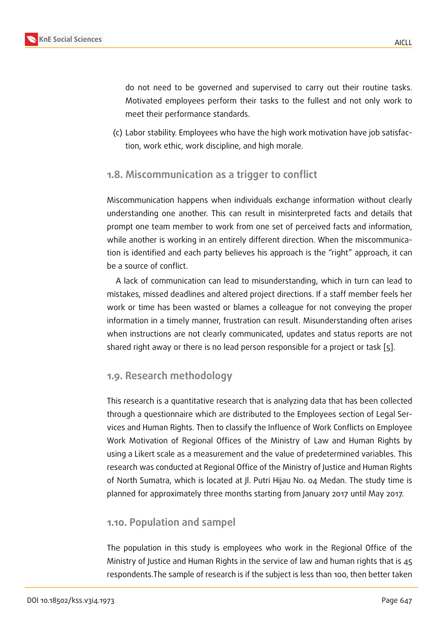do not need to be governed and supervised to carry out their routine tasks. Motivated employees perform their tasks to the fullest and not only work to meet their performance standards.

(c) Labor stability. Employees who have the high work motivation have job satisfaction, work ethic, work discipline, and high morale.

#### **1.8. Miscommunication as a trigger to conflict**

Miscommunication happens when individuals exchange information without clearly understanding one another. This can result in misinterpreted facts and details that prompt one team member to work from one set of perceived facts and information, while another is working in an entirely different direction. When the miscommunication is identified and each party believes his approach is the "right" approach, it can be a source of conflict.

A lack of communication can lead to misunderstanding, which in turn can lead to mistakes, missed deadlines and altered project directions. If a staff member feels her work or time has been wasted or blames a colleague for not conveying the proper information in a timely manner, frustration can result. Misunderstanding often arises when instructions are not clearly communicated, updates and status reports are not shared right away or there is no lead person responsible for a project or task [5].

#### **1.9. Research methodology**

This research is a quantitative research that is analyzing data that has been collected through a questionnaire which are distributed to the Employees section of Legal Services and Human Rights. Then to classify the Influence of Work Conflicts on Employee Work Motivation of Regional Offices of the Ministry of Law and Human Rights by using a Likert scale as a measurement and the value of predetermined variables. This research was conducted at Regional Office of the Ministry of Justice and Human Rights of North Sumatra, which is located at Jl. Putri Hijau No. 04 Medan. The study time is planned for approximately three months starting from January 2017 until May 2017.

#### **1.10. Population and sampel**

The population in this study is employees who work in the Regional Office of the Ministry of Justice and Human Rights in the service of law and human rights that is 45 respondents.The sample of research is if the subject is less than 100, then better taken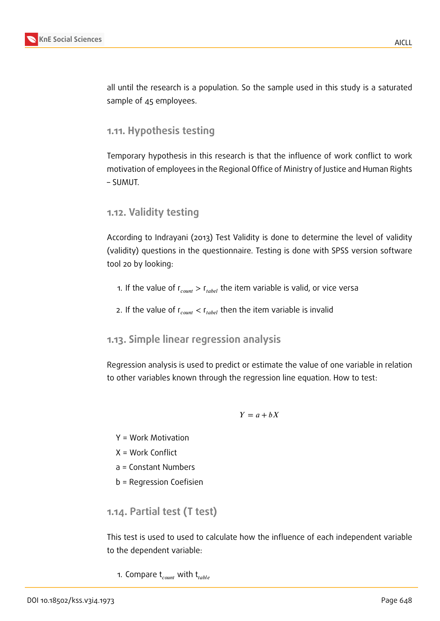

all until the research is a population. So the sample used in this study is a saturated sample of 45 employees.

#### **1.11. Hypothesis testing**

Temporary hypothesis in this research is that the influence of work conflict to work motivation of employees in the Regional Office of Ministry of Justice and Human Rights – SUMUT.

#### **1.12. Validity testing**

According to Indrayani (2013) Test Validity is done to determine the level of validity (validity) questions in the questionnaire. Testing is done with SPSS version software tool 20 by looking:

- 1. If the value of  $r_{count} > r_{label}$  the item variable is valid, or vice versa
- 2. If the value of  $r_{count} < r_{table}$  then the item variable is invalid

#### **1.13. Simple linear regression analysis**

Regression analysis is used to predict or estimate the value of one variable in relation to other variables known through the regression line equation. How to test:

#### $Y = a + bX$

- Y = Work Motivation
- X = Work Conflict
- a = Constant Numbers
- b = Regression Coefisien

**1.14. Partial test (T test)**

This test is used to used to calculate how the influence of each independent variable to the dependent variable:

1. Compare  $t_{count}$  with  $t_{table}$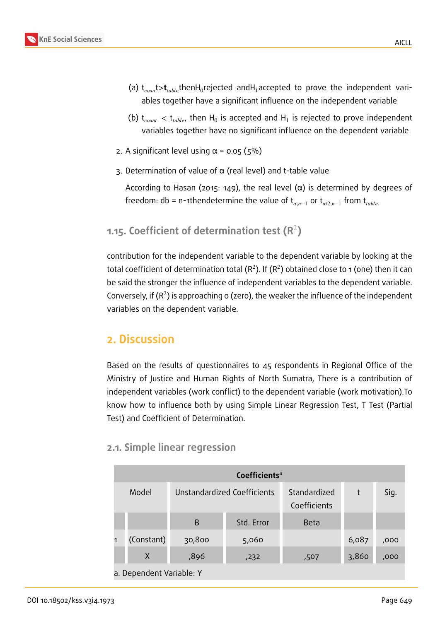

- (a)  ${\sf t}_{\it count}$   $\!$   $\!{\sf t}_{\it table}$  thenH $_{\rm 0}$ rejected andH $_{\rm 1}$  accepted to prove the independent variables together have a significant influence on the independent variable
- (b)  ${\rm t}_{\it count}$   $<$   ${\rm t}_{\it table}$ , then  ${\rm H}_0$  is accepted and  ${\rm H}_1$  is rejected to prove independent variables together have no significant influence on the dependent variable
- 2. A significant level using  $\alpha$  = 0.05 (5%)
- 3. Determination of value of α (real level) and t-table value

According to Hasan (2015: 149), the real level (α) is determined by degrees of freedom: db = n-1thendetermine the value of  $t_{\alpha:n-1}$  or  $t_{\alpha/2:n-1}$  from  $t_{table}$ .

### **1.15. Coefficient of determination test (R**<sup>2</sup> **)**

contribution for the independent variable to the dependent variable by looking at the total coefficient of determination total (R<sup>2</sup>). If (R<sup>2</sup>) obtained close to 1 (one) then it can be said the stronger the influence of independent variables to the dependent variable. Conversely, if ( $R^2$ ) is approaching o (zero), the weaker the influence of the independent variables on the dependent variable.

# **2. Discussion**

Based on the results of questionnaires to 45 respondents in Regional Office of the Ministry of Justice and Human Rights of North Sumatra, There is a contribution of independent variables (work conflict) to the dependent variable (work motivation).To know how to influence both by using Simple Linear Regression Test, T Test (Partial Test) and Coefficient of Determination.

#### **2.1. Simple linear regression**

| Coefficients <sup>a</sup> |        |                             |                              |       |      |  |  |
|---------------------------|--------|-----------------------------|------------------------------|-------|------|--|--|
| Model                     |        | Unstandardized Coefficients | Standardized<br>Coefficients | t     | Sig. |  |  |
|                           | B      | Std. Error                  | <b>Beta</b>                  |       |      |  |  |
| (Constant)                | 30,800 | 5,060                       |                              | 6,087 | ,000 |  |  |
| X                         | ,896   | ,232                        | ,507                         | 3,860 | ,000 |  |  |
| a. Dependent Variable: Y  |        |                             |                              |       |      |  |  |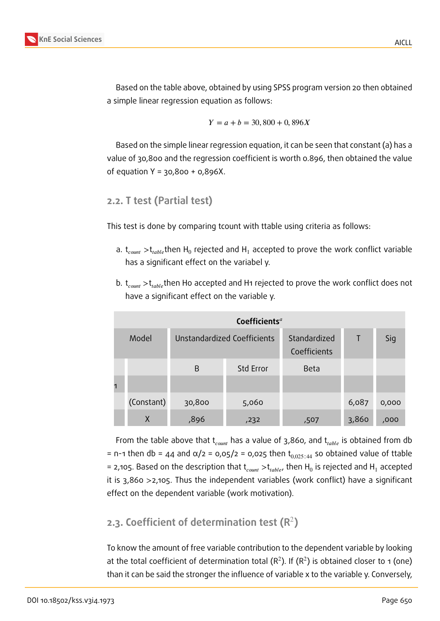

AICLL

Based on the table above, obtained by using SPSS program version 20 then obtained a simple linear regression equation as follows:

$$
Y = a + b = 30,800 + 0,896X
$$

Based on the simple linear regression equation, it can be seen that constant (a) has a value of 30,800 and the regression coefficient is worth 0.896, then obtained the value of equation Y = 30,800 + 0,896X.

#### **2.2. T test (Partial test)**

This test is done by comparing tcount with ttable using criteria as follows:

- a.  ${\rm t}_{\it count}$   $>$ t $_{\it table}$ then H $_{\rm 0}$  rejected and H $_{\rm 1}$  accepted to prove the work conflict variable has a significant effect on the variabel y.
- b.  $t_{count} > t_{table}$ then Ho accepted and H1 rejected to prove the work conflict does not have a significant effect on the variable y.

|            | Coefficients <sup>a</sup>   |                  |                              |        |       |
|------------|-----------------------------|------------------|------------------------------|--------|-------|
| Model      | Unstandardized Coefficients |                  | Standardized<br>Coefficients | $\top$ | Sig   |
|            | B                           | <b>Std Error</b> | Beta                         |        |       |
|            |                             |                  |                              |        |       |
| (Constant) | 30,800                      | 5,060            |                              | 6,087  | 0,000 |
| X          | ,896                        | ,232             | ,507                         | 3,860  | ,000  |

From the table above that  $t_{count}$  has a value of 3,860, and  $t_{table}$  is obtained from db = n-1 then db = 44 and  $\alpha/2$  = 0,05/2 = 0,025 then  $t_{0.025 \, ;44}$  so obtained value of ttable = 2,105. Based on the description that  $\mathfrak{t}_{\mathit{count}} > \mathfrak{t}_{\mathit{table}}$ , then H $_0$  is rejected and H $_1$  accepted it is 3,860 >2,105. Thus the independent variables (work conflict) have a significant effect on the dependent variable (work motivation).

### **2.3. Coefficient of determination test (R**<sup>2</sup> **)**

To know the amount of free variable contribution to the dependent variable by looking at the total coefficient of determination total (R<sup>2</sup>). If (R<sup>2</sup>) is obtained closer to 1 (one) than it can be said the stronger the influence of variable x to the variable y. Conversely,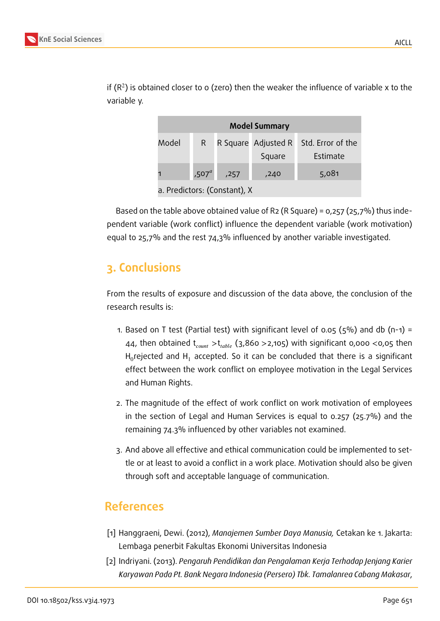

| R.                |      |                                           | Std. Error of the             |
|-------------------|------|-------------------------------------------|-------------------------------|
|                   |      |                                           | Estimate                      |
| ,507 <sup>a</sup> | ,257 | ,240                                      | 5,081                         |
|                   |      | $\sim$ $\sim$ $\sim$ $\sim$ $\sim$ $\sim$ | R Square Adjusted R<br>Square |

if (R<sup>2</sup>) is obtained closer to 0 (zero) then the weaker the influence of variable x to the variable y.

a. Predictors: (Constant), X

Based on the table above obtained value of R2 (R Square) =  $0.257$  ( $25.7\%$ ) thus independent variable (work conflict) influence the dependent variable (work motivation) equal to 25,7% and the rest 74,3% influenced by another variable investigated.

# **3. Conclusions**

From the results of exposure and discussion of the data above, the conclusion of the research results is:

- 1. Based on T test (Partial test) with significant level of 0.05 ( $5\%$ ) and db (n-1) = 44, then obtained  $t_{count} > t_{table}$  (3,860 >2,105) with significant 0,000 <0,05 then H $_0$ rejected and H $_1$  accepted. So it can be concluded that there is a significant effect between the work conflict on employee motivation in the Legal Services and Human Rights.
- 2. The magnitude of the effect of work conflict on work motivation of employees in the section of Legal and Human Services is equal to 0.257 (25.7%) and the remaining 74.3% influenced by other variables not examined.
- 3. And above all effective and ethical communication could be implemented to settle or at least to avoid a conflict in a work place. Motivation should also be given through soft and acceptable language of communication.

# **References**

- [1] Hanggraeni, Dewi. (2012), *Manajemen Sumber Daya Manusia,* Cetakan ke 1. Jakarta: Lembaga penerbit Fakultas Ekonomi Universitas Indonesia
- [2] Indriyani. (2013). *Pengaruh Pendidikan dan Pengalaman Kerja Terhadap Jenjang Karier Karyawan Pada Pt. Bank Negara Indonesia (Persero) Tbk. Tamalanrea Cabang Makasar*,